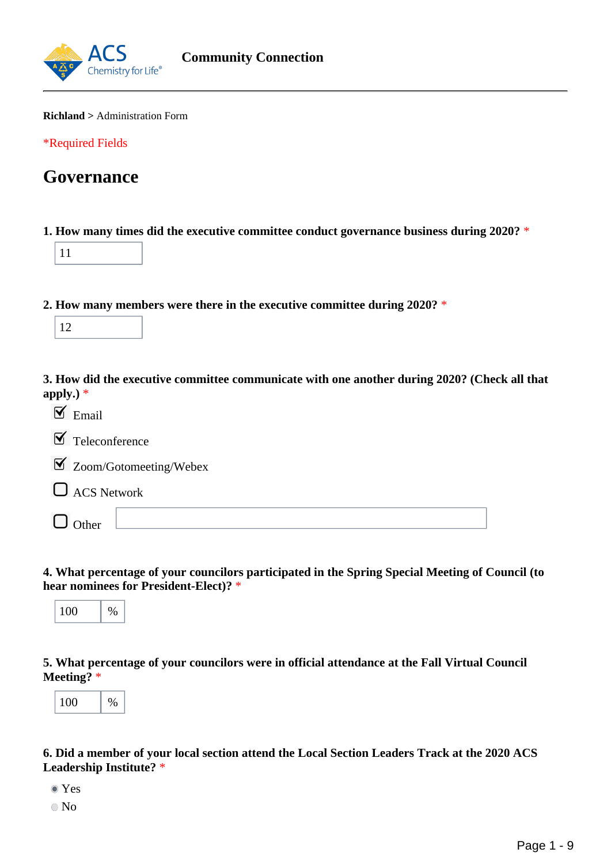

#### **Richland >** Administration Form

\*Required Fields

## **Governance**

**1. How many times did the executive committee conduct governance business during 2020?** \*

**2. How many members were there in the executive committee during 2020?** \*

|--|

**3. How did the executive committee communicate with one another during 2020? (Check all that apply.)** \*

| $\mathbf{I}$ Email |                                    |
|--------------------|------------------------------------|
|                    | $\blacksquare$ Teleconference      |
|                    | $\boxtimes$ Zoom/Gotomeeting/Webex |
|                    | $\Box$ ACS Network                 |
| $\Box$ Other       |                                    |

**4. What percentage of your councilors participated in the Spring Special Meeting of Council (to hear nominees for President-Elect)?** \*



**5. What percentage of your councilors were in official attendance at the Fall Virtual Council Meeting?** \*



**6. Did a member of your local section attend the Local Section Leaders Track at the 2020 ACS Leadership Institute?** \*

- Yes
- No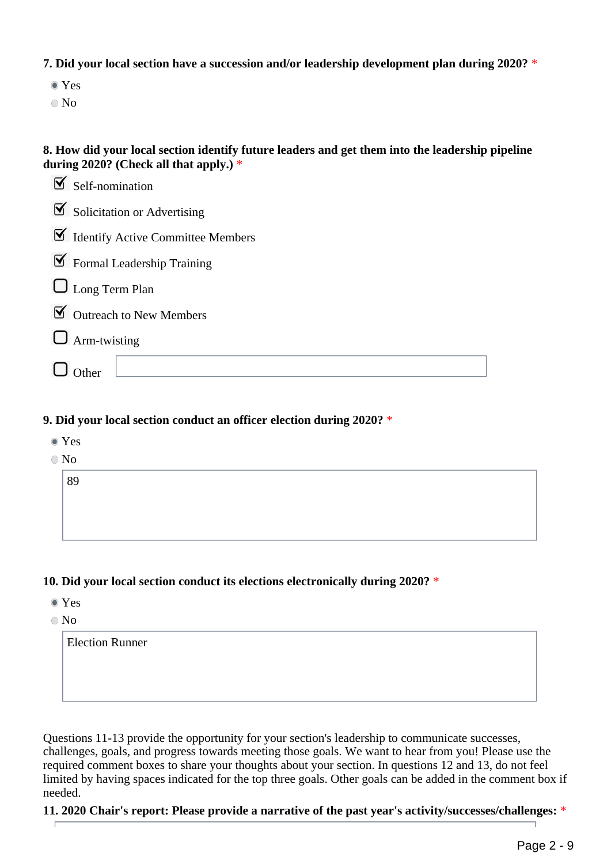**7. Did your local section have a succession and/or leadership development plan during 2020?** \*

- Yes
- No

## **8. How did your local section identify future leaders and get them into the leadership pipeline during 2020? (Check all that apply.)** \*

| $\mathcal{F}$ Self-nomination                           |
|---------------------------------------------------------|
| $\mathbf{\nabla}$ Solicitation or Advertising           |
| $\blacktriangleright$ Identify Active Committee Members |
| $\blacktriangleright$ Formal Leadership Training        |
| $\Box$ Long Term Plan                                   |
| $\triangleright$ Outreach to New Members                |
| $\Box$ Arm-twisting                                     |
|                                                         |

## **9. Did your local section conduct an officer election during 2020?** \*

| $\bullet$ Yes<br>$\bullet$ No |  |  |  |  |
|-------------------------------|--|--|--|--|
|                               |  |  |  |  |
| 89                            |  |  |  |  |
|                               |  |  |  |  |
|                               |  |  |  |  |
|                               |  |  |  |  |

## **10. Did your local section conduct its elections electronically during 2020?** \*

- Yes
- $\odot$  No

| <b>Election Runner</b> |  |  |
|------------------------|--|--|
|                        |  |  |
|                        |  |  |
|                        |  |  |

Questions 11-13 provide the opportunity for your section's leadership to communicate successes, challenges, goals, and progress towards meeting those goals. We want to hear from you! Please use the required comment boxes to share your thoughts about your section. In questions 12 and 13, do not feel limited by having spaces indicated for the top three goals. Other goals can be added in the comment box if needed.

**11. 2020 Chair's report: Please provide a narrative of the past year's activity/successes/challenges:** \*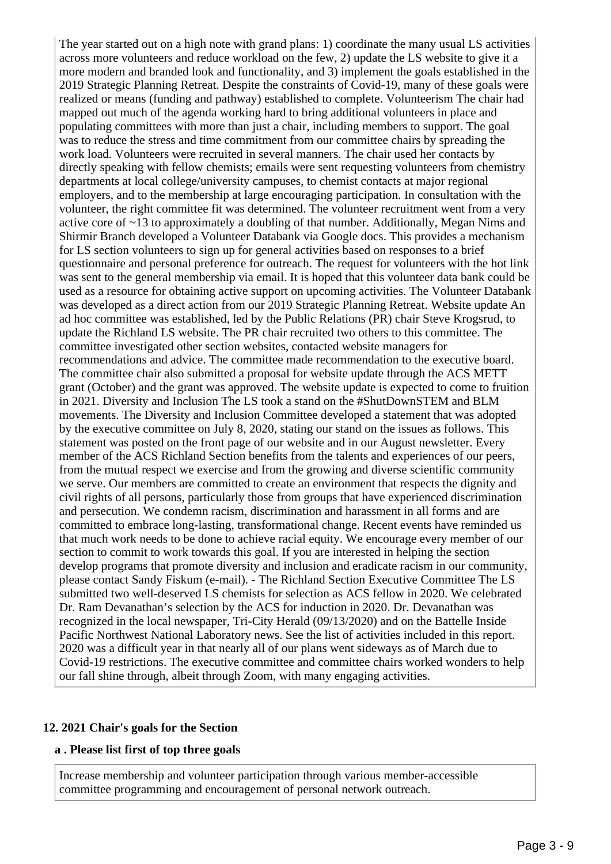The year started out on a high note with grand plans: 1) coordinate the many usual LS activities across more volunteers and reduce workload on the few, 2) update the LS website to give it a more modern and branded look and functionality, and 3) implement the goals established in the 2019 Strategic Planning Retreat. Despite the constraints of Covid-19, many of these goals were realized or means (funding and pathway) established to complete. Volunteerism The chair had mapped out much of the agenda working hard to bring additional volunteers in place and populating committees with more than just a chair, including members to support. The goal was to reduce the stress and time commitment from our committee chairs by spreading the work load. Volunteers were recruited in several manners. The chair used her contacts by directly speaking with fellow chemists; emails were sent requesting volunteers from chemistry departments at local college/university campuses, to chemist contacts at major regional employers, and to the membership at large encouraging participation. In consultation with the volunteer, the right committee fit was determined. The volunteer recruitment went from a very active core of ~13 to approximately a doubling of that number. Additionally, Megan Nims and Shirmir Branch developed a Volunteer Databank via Google docs. This provides a mechanism for LS section volunteers to sign up for general activities based on responses to a brief questionnaire and personal preference for outreach. The request for volunteers with the hot link was sent to the general membership via email. It is hoped that this volunteer data bank could be used as a resource for obtaining active support on upcoming activities. The Volunteer Databank was developed as a direct action from our 2019 Strategic Planning Retreat. Website update An ad hoc committee was established, led by the Public Relations (PR) chair Steve Krogsrud, to update the Richland LS website. The PR chair recruited two others to this committee. The committee investigated other section websites, contacted website managers for recommendations and advice. The committee made recommendation to the executive board. The committee chair also submitted a proposal for website update through the ACS METT grant (October) and the grant was approved. The website update is expected to come to fruition in 2021. Diversity and Inclusion The LS took a stand on the #ShutDownSTEM and BLM movements. The Diversity and Inclusion Committee developed a statement that was adopted by the executive committee on July 8, 2020, stating our stand on the issues as follows. This statement was posted on the front page of our website and in our August newsletter. Every member of the ACS Richland Section benefits from the talents and experiences of our peers, from the mutual respect we exercise and from the growing and diverse scientific community we serve. Our members are committed to create an environment that respects the dignity and civil rights of all persons, particularly those from groups that have experienced discrimination and persecution. We condemn racism, discrimination and harassment in all forms and are committed to embrace long-lasting, transformational change. Recent events have reminded us that much work needs to be done to achieve racial equity. We encourage every member of our section to commit to work towards this goal. If you are interested in helping the section develop programs that promote diversity and inclusion and eradicate racism in our community, please contact Sandy Fiskum (e-mail). - The Richland Section Executive Committee The LS submitted two well-deserved LS chemists for selection as ACS fellow in 2020. We celebrated Dr. Ram Devanathan's selection by the ACS for induction in 2020. Dr. Devanathan was recognized in the local newspaper, Tri-City Herald (09/13/2020) and on the Battelle Inside Pacific Northwest National Laboratory news. See the list of activities included in this report. 2020 was a difficult year in that nearly all of our plans went sideways as of March due to Covid-19 restrictions. The executive committee and committee chairs worked wonders to help our fall shine through, albeit through Zoom, with many engaging activities.

#### **12. 2021 Chair's goals for the Section**

#### **a . Please list first of top three goals**

Increase membership and volunteer participation through various member-accessible committee programming and encouragement of personal network outreach.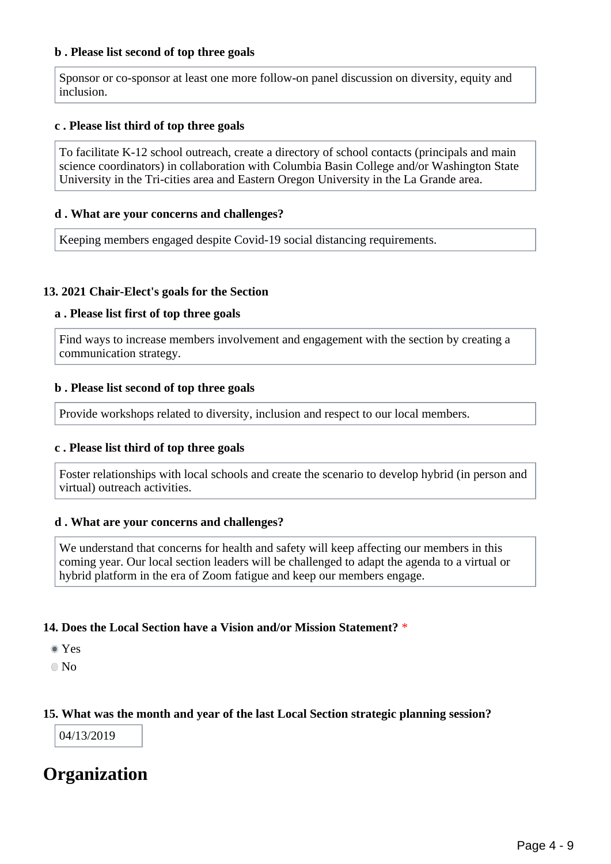#### **b . Please list second of top three goals**

Sponsor or co-sponsor at least one more follow-on panel discussion on diversity, equity and inclusion.

#### **c . Please list third of top three goals**

To facilitate K-12 school outreach, create a directory of school contacts (principals and main science coordinators) in collaboration with Columbia Basin College and/or Washington State University in the Tri-cities area and Eastern Oregon University in the La Grande area.

#### **d . What are your concerns and challenges?**

Keeping members engaged despite Covid-19 social distancing requirements.

#### **13. 2021 Chair-Elect's goals for the Section**

#### **a . Please list first of top three goals**

Find ways to increase members involvement and engagement with the section by creating a communication strategy.

#### **b . Please list second of top three goals**

Provide workshops related to diversity, inclusion and respect to our local members.

#### **c . Please list third of top three goals**

Foster relationships with local schools and create the scenario to develop hybrid (in person and virtual) outreach activities.

#### **d . What are your concerns and challenges?**

We understand that concerns for health and safety will keep affecting our members in this coming year. Our local section leaders will be challenged to adapt the agenda to a virtual or hybrid platform in the era of Zoom fatigue and keep our members engage.

#### **14. Does the Local Section have a Vision and/or Mission Statement?** \*

- Yes
- No

#### **15. What was the month and year of the last Local Section strategic planning session?**

04/13/2019

# **Organization**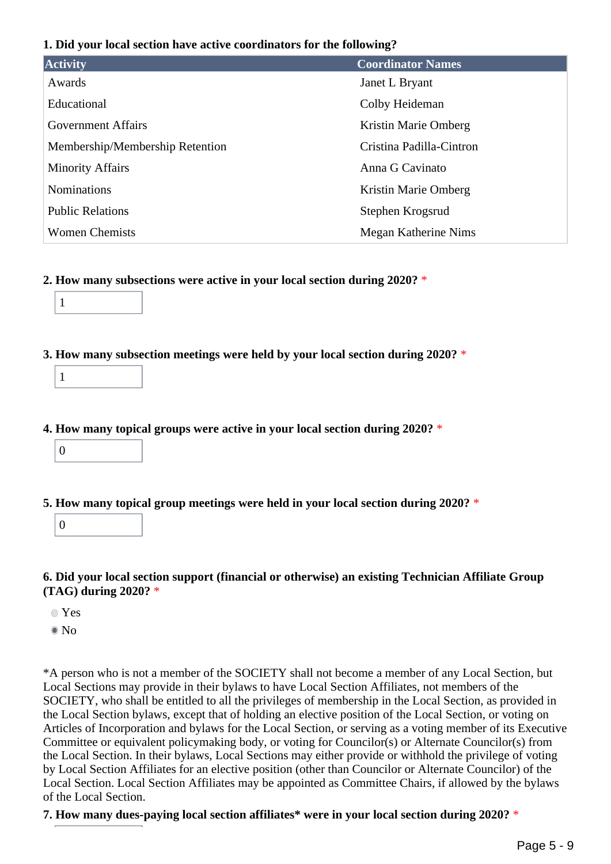#### **1. Did your local section have active coordinators for the following?**

| <b>Activity</b>                 | <b>Coordinator Names</b> |
|---------------------------------|--------------------------|
| Awards                          | Janet L Bryant           |
| Educational                     | Colby Heideman           |
| <b>Government Affairs</b>       | Kristin Marie Omberg     |
| Membership/Membership Retention | Cristina Padilla-Cintron |
| <b>Minority Affairs</b>         | Anna G Cavinato          |
| <b>Nominations</b>              | Kristin Marie Omberg     |
| <b>Public Relations</b>         | Stephen Krogsrud         |
| <b>Women Chemists</b>           | Megan Katherine Nims     |

#### **2. How many subsections were active in your local section during 2020?** \*

| $\mathbf{1}$ |
|--------------|
|--------------|

#### **3. How many subsection meetings were held by your local section during 2020?** \*

### **4. How many topical groups were active in your local section during 2020?** \*

 $\theta$ 

## **5. How many topical group meetings were held in your local section during 2020?** \*

0

## **6. Did your local section support (financial or otherwise) an existing Technician Affiliate Group (TAG) during 2020?** \*

- Yes
- <sup>■</sup>No

\*A person who is not a member of the SOCIETY shall not become a member of any Local Section, but Local Sections may provide in their bylaws to have Local Section Affiliates, not members of the SOCIETY, who shall be entitled to all the privileges of membership in the Local Section, as provided in the Local Section bylaws, except that of holding an elective position of the Local Section, or voting on Articles of Incorporation and bylaws for the Local Section, or serving as a voting member of its Executive Committee or equivalent policymaking body, or voting for Councilor(s) or Alternate Councilor(s) from the Local Section. In their bylaws, Local Sections may either provide or withhold the privilege of voting by Local Section Affiliates for an elective position (other than Councilor or Alternate Councilor) of the Local Section. Local Section Affiliates may be appointed as Committee Chairs, if allowed by the bylaws of the Local Section.

#### **7. How many dues-paying local section affiliates\* were in your local section during 2020?** \*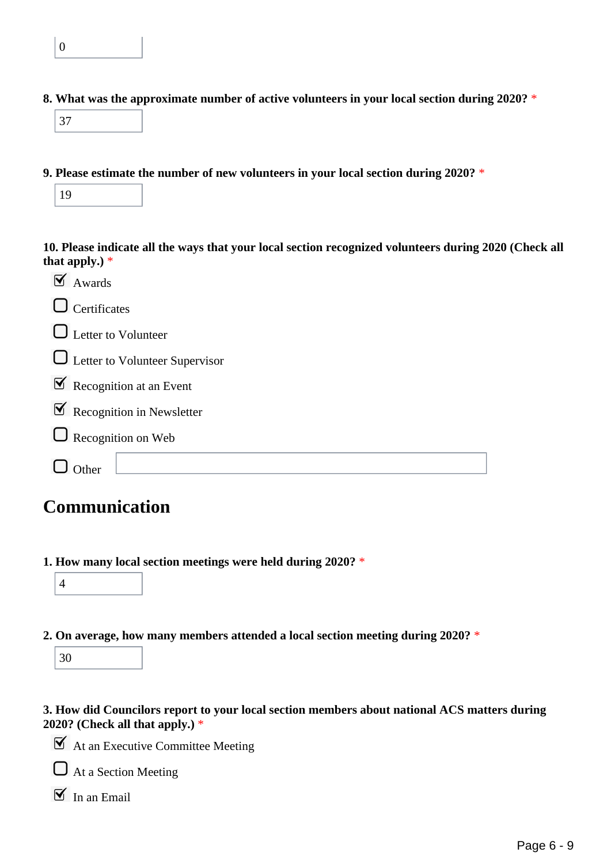**8. What was the approximate number of active volunteers in your local section during 2020?** \*

|--|

**9. Please estimate the number of new volunteers in your local section during 2020?** \*

| 19 |  |
|----|--|
|----|--|

**10. Please indicate all the ways that your local section recognized volunteers during 2020 (Check all that apply.)** \*

| $\mathbf{N}$ Awards                        |
|--------------------------------------------|
| $\Box$ Certificates                        |
| $\Box$ Letter to Volunteer                 |
| <b>Q</b> Letter to Volunteer Supervisor    |
| $\triangleright$ Recognition at an Event   |
| $\triangleright$ Recognition in Newsletter |
| $\Box$ Recognition on Web                  |
| her                                        |

# **Communication**

**1. How many local section meetings were held during 2020?** \*



**2. On average, how many members attended a local section meeting during 2020?** \*

30

**3. How did Councilors report to your local section members about national ACS matters during 2020? (Check all that apply.)** \*

 $\blacktriangleright$  At an Executive Committee Meeting

 $\Box$  At a Section Meeting

 $\boxed{\blacksquare}$  In an Email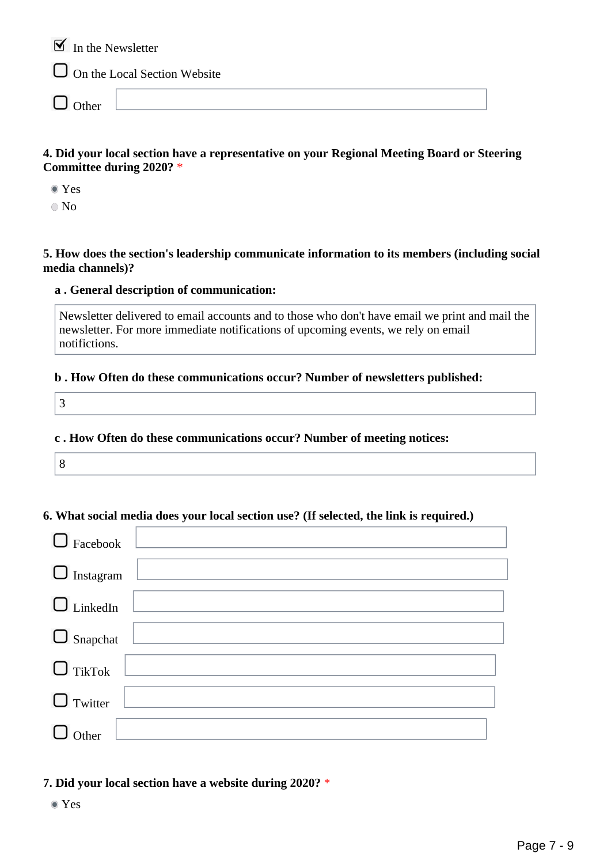$\mathbf{\nabla}$  In the Newsletter

On the Local Section Website

 $\Box$  Other

#### **4. Did your local section have a representative on your Regional Meeting Board or Steering Committee during 2020?** \*

Yes

No

**5. How does the section's leadership communicate information to its members (including social media channels)?**

#### **a . General description of communication:**

Newsletter delivered to email accounts and to those who don't have email we print and mail the newsletter. For more immediate notifications of upcoming events, we rely on email notifictions.

#### **b . How Often do these communications occur? Number of newsletters published:**

3

#### **c . How Often do these communications occur? Number of meeting notices:**

|--|

#### **6. What social media does your local section use? (If selected, the link is required.)**

| $\Box$ Facebook  |  |
|------------------|--|
| $\Box$ Instagram |  |
| $\Box$ LinkedIn  |  |
| $\Box$ Snapchat  |  |
| $\Box$ TikTok    |  |
| $\Box$ Twitter   |  |
| ier              |  |

**7. Did your local section have a website during 2020?** \*

Yes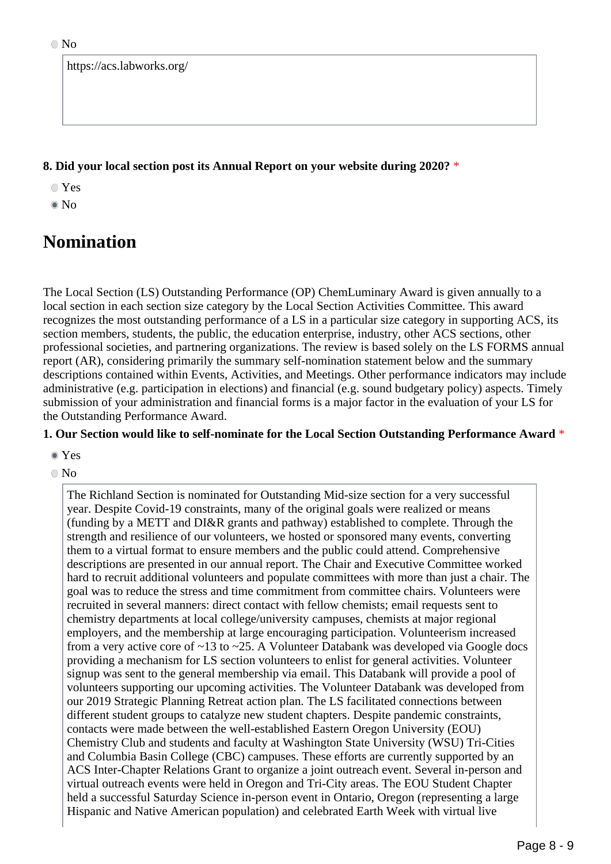|  | https://acs.labworks.org/ |  |
|--|---------------------------|--|
|--|---------------------------|--|

#### **8. Did your local section post its Annual Report on your website during 2020?** \*

- Yes
- No

# **Nomination**

The Local Section (LS) Outstanding Performance (OP) ChemLuminary Award is given annually to a local section in each section size category by the Local Section Activities Committee. This award recognizes the most outstanding performance of a LS in a particular size category in supporting ACS, its section members, students, the public, the education enterprise, industry, other ACS sections, other professional societies, and partnering organizations. The review is based solely on the LS FORMS annual report (AR), considering primarily the summary self-nomination statement below and the summary descriptions contained within Events, Activities, and Meetings. Other performance indicators may include administrative (e.g. participation in elections) and financial (e.g. sound budgetary policy) aspects. Timely submission of your administration and financial forms is a major factor in the evaluation of your LS for the Outstanding Performance Award.

### **1. Our Section would like to self-nominate for the Local Section Outstanding Performance Award** \*

- Yes
- $\odot$  No

The Richland Section is nominated for Outstanding Mid-size section for a very successful year. Despite Covid-19 constraints, many of the original goals were realized or means (funding by a METT and DI&R grants and pathway) established to complete. Through the strength and resilience of our volunteers, we hosted or sponsored many events, converting them to a virtual format to ensure members and the public could attend. Comprehensive descriptions are presented in our annual report. The Chair and Executive Committee worked hard to recruit additional volunteers and populate committees with more than just a chair. The goal was to reduce the stress and time commitment from committee chairs. Volunteers were recruited in several manners: direct contact with fellow chemists; email requests sent to chemistry departments at local college/university campuses, chemists at major regional employers, and the membership at large encouraging participation. Volunteerism increased from a very active core of  $\sim$ 13 to  $\sim$ 25. A Volunteer Databank was developed via Google docs providing a mechanism for LS section volunteers to enlist for general activities. Volunteer signup was sent to the general membership via email. This Databank will provide a pool of volunteers supporting our upcoming activities. The Volunteer Databank was developed from our 2019 Strategic Planning Retreat action plan. The LS facilitated connections between different student groups to catalyze new student chapters. Despite pandemic constraints, contacts were made between the well-established Eastern Oregon University (EOU) Chemistry Club and students and faculty at Washington State University (WSU) Tri-Cities and Columbia Basin College (CBC) campuses. These efforts are currently supported by an ACS Inter-Chapter Relations Grant to organize a joint outreach event. Several in-person and virtual outreach events were held in Oregon and Tri-City areas. The EOU Student Chapter held a successful Saturday Science in-person event in Ontario, Oregon (representing a large Hispanic and Native American population) and celebrated Earth Week with virtual live